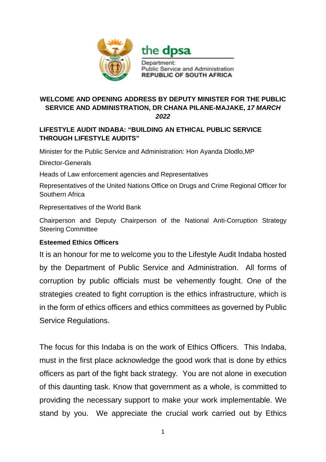

the **dpsa** 

Department: Public Service and Administration **REPUBLIC OF SOUTH AFRICA** 

## **WELCOME AND OPENING ADDRESS BY DEPUTY MINISTER FOR THE PUBLIC SERVICE AND ADMINISTRATION, DR CHANA PILANE-MAJAKE,** *17 MARCH 2022*

## **LIFESTYLE AUDIT INDABA: "BUILDING AN ETHICAL PUBLIC SERVICE THROUGH LIFESTYLE AUDITS"**

Minister for the Public Service and Administration: Hon Ayanda Dlodlo,MP

Director-Generals

Heads of Law enforcement agencies and Representatives

Representatives of the United Nations Office on Drugs and Crime Regional Officer for Southern Africa

Representatives of the World Bank

Chairperson and Deputy Chairperson of the National Anti-Corruption Strategy Steering Committee

## **Esteemed Ethics Officers**

It is an honour for me to welcome you to the Lifestyle Audit Indaba hosted by the Department of Public Service and Administration. All forms of corruption by public officials must be vehemently fought. One of the strategies created to fight corruption is the ethics infrastructure, which is in the form of ethics officers and ethics committees as governed by Public Service Regulations.

The focus for this Indaba is on the work of Ethics Officers. This Indaba, must in the first place acknowledge the good work that is done by ethics officers as part of the fight back strategy. You are not alone in execution of this daunting task. Know that government as a whole, is committed to providing the necessary support to make your work implementable. We stand by you. We appreciate the crucial work carried out by Ethics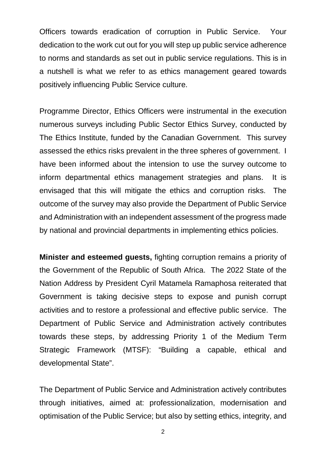Officers towards eradication of corruption in Public Service. Your dedication to the work cut out for you will step up public service adherence to norms and standards as set out in public service regulations. This is in a nutshell is what we refer to as ethics management geared towards positively influencing Public Service culture.

Programme Director, Ethics Officers were instrumental in the execution numerous surveys including Public Sector Ethics Survey, conducted by The Ethics Institute, funded by the Canadian Government. This survey assessed the ethics risks prevalent in the three spheres of government. I have been informed about the intension to use the survey outcome to inform departmental ethics management strategies and plans. It is envisaged that this will mitigate the ethics and corruption risks. The outcome of the survey may also provide the Department of Public Service and Administration with an independent assessment of the progress made by national and provincial departments in implementing ethics policies.

**Minister and esteemed guests,** fighting corruption remains a priority of the Government of the Republic of South Africa. The 2022 State of the Nation Address by President Cyril Matamela Ramaphosa reiterated that Government is taking decisive steps to expose and punish corrupt activities and to restore a professional and effective public service. The Department of Public Service and Administration actively contributes towards these steps, by addressing Priority 1 of the Medium Term Strategic Framework (MTSF): "Building a capable, ethical and developmental State".

The Department of Public Service and Administration actively contributes through initiatives, aimed at: professionalization, modernisation and optimisation of the Public Service; but also by setting ethics, integrity, and

2